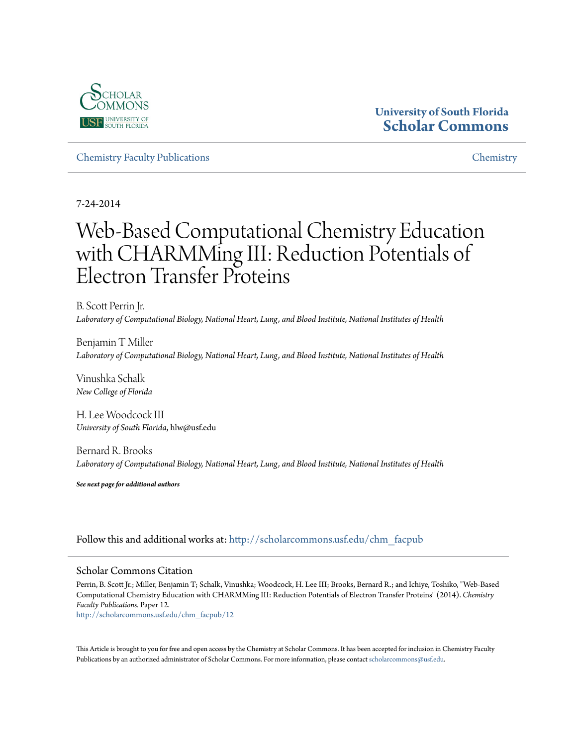

## **University of South Florida [Scholar Commons](http://scholarcommons.usf.edu?utm_source=scholarcommons.usf.edu%2Fchm_facpub%2F12&utm_medium=PDF&utm_campaign=PDFCoverPages)**

[Chemistry Faculty Publications](http://scholarcommons.usf.edu/chm_facpub?utm_source=scholarcommons.usf.edu%2Fchm_facpub%2F12&utm_medium=PDF&utm_campaign=PDFCoverPages) [Chemistry](http://scholarcommons.usf.edu/chm?utm_source=scholarcommons.usf.edu%2Fchm_facpub%2F12&utm_medium=PDF&utm_campaign=PDFCoverPages)

7-24-2014

# Web-Based Computational Chemistry Education with CHARMMing III: Reduction Potentials of Electron Transfer Proteins

B. Scott Perrin Jr. *Laboratory of Computational Biology, National Heart, Lung, and Blood Institute, National Institutes of Health*

Benjamin T Miller *Laboratory of Computational Biology, National Heart, Lung, and Blood Institute, National Institutes of Health*

Vinushka Schalk *New College of Florida*

H. Lee Woodcock III *University of South Florida*, hlw@usf.edu

Bernard R. Brooks *Laboratory of Computational Biology, National Heart, Lung, and Blood Institute, National Institutes of Health*

*See next page for additional authors*

## Follow this and additional works at: [http://scholarcommons.usf.edu/chm\\_facpub](http://scholarcommons.usf.edu/chm_facpub?utm_source=scholarcommons.usf.edu%2Fchm_facpub%2F12&utm_medium=PDF&utm_campaign=PDFCoverPages)

### Scholar Commons Citation

Perrin, B. Scott Jr.; Miller, Benjamin T; Schalk, Vinushka; Woodcock, H. Lee III; Brooks, Bernard R.; and Ichiye, Toshiko, "Web-Based Computational Chemistry Education with CHARMMing III: Reduction Potentials of Electron Transfer Proteins" (2014). *Chemistry Faculty Publications.* Paper 12.

[http://scholarcommons.usf.edu/chm\\_facpub/12](http://scholarcommons.usf.edu/chm_facpub/12?utm_source=scholarcommons.usf.edu%2Fchm_facpub%2F12&utm_medium=PDF&utm_campaign=PDFCoverPages)

This Article is brought to you for free and open access by the Chemistry at Scholar Commons. It has been accepted for inclusion in Chemistry Faculty Publications by an authorized administrator of Scholar Commons. For more information, please contact [scholarcommons@usf.edu](mailto:scholarcommons@usf.edu).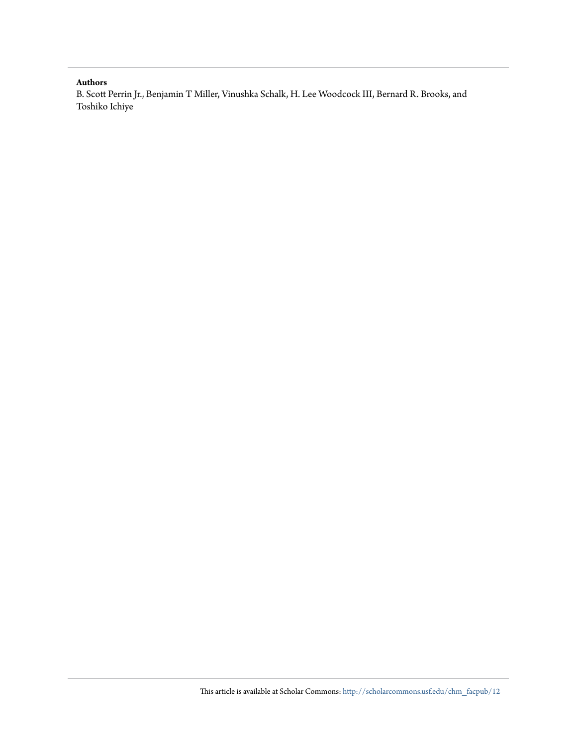#### **Authors**

B. Scott Perrin Jr., Benjamin T Miller, Vinushka Schalk, H. Lee Woodcock III, Bernard R. Brooks, and Toshiko Ichiye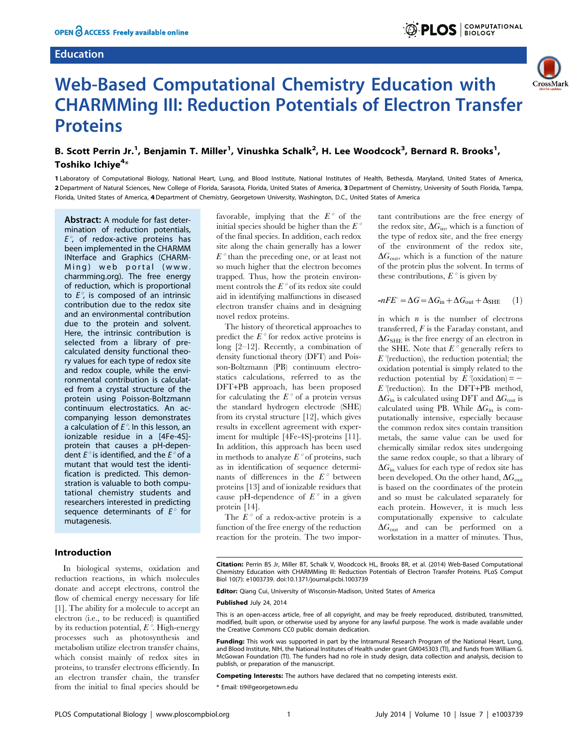#### Education





## Web-Based Computational Chemistry Education with CHARMMing III: Reduction Potentials of Electron Transfer **Proteins**

## B. Scott Perrin Jr.<sup>1</sup>, Benjamin T. Miller<sup>1</sup>, Vinushka Schalk<sup>2</sup>, H. Lee Woodcock<sup>3</sup>, Bernard R. Brooks<sup>1</sup>, Toshiko Ichiye<sup>4</sup>\*

1 Laboratory of Computational Biology, National Heart, Lung, and Blood Institute, National Institutes of Health, Bethesda, Maryland, United States of America, 2 Department of Natural Sciences, New College of Florida, Sarasota, Florida, United States of America, 3 Department of Chemistry, University of South Florida, Tampa, Florida, United States of America, 4 Department of Chemistry, Georgetown University, Washington, D.C., United States of America

Abstract: A module for fast determination of reduction potentials,  $E^{\circ}$ , of redox-active proteins has been implemented in the CHARMM INterface and Graphics (CHARM-Ming) web portal ([www.](www.charmming.org) [charmming.org](www.charmming.org)). The free energy of reduction, which is proportional to  $E^{\circ}$ , is composed of an intrinsic contribution due to the redox site and an environmental contribution due to the protein and solvent. Here, the intrinsic contribution is selected from a library of precalculated density functional theory values for each type of redox site and redox couple, while the environmental contribution is calculated from a crystal structure of the protein using Poisson-Boltzmann continuum electrostatics. An accompanying lesson demonstrates a calculation of  $E^\circ$ . In this lesson, an ionizable residue in a [4Fe-4S] protein that causes a pH-dependent  $E^{\circ}$  is identified, and the  $E^{\circ}$  of a mutant that would test the identification is predicted. This demonstration is valuable to both computational chemistry students and researchers interested in predicting sequence determinants of  $E^{\circ}$  for mutagenesis.

#### Introduction

In biological systems, oxidation and reduction reactions, in which molecules donate and accept electrons, control the flow of chemical energy necessary for life [1]. The ability for a molecule to accept an electron (i.e., to be reduced) is quantified by its reduction potential,  $E^{\circ}$ . High-energy processes such as photosynthesis and metabolism utilize electron transfer chains, which consist mainly of redox sites in proteins, to transfer electrons efficiently. In an electron transfer chain, the transfer from the initial to final species should be favorable, implying that the  $E^{\circ}$  of the initial species should be higher than the  $E^{\circ}$ of the final species. In addition, each redox site along the chain generally has a lower  $E^{\circ}$  than the preceding one, or at least not so much higher that the electron becomes trapped. Thus, how the protein environment controls the  $E^{\circ}$  of its redox site could aid in identifying malfunctions in diseased electron transfer chains and in designing novel redox proteins.

The history of theoretical approaches to predict the  $E^{\circ}$  for redox active proteins is long [2–12]. Recently, a combination of density functional theory (DFT) and Poisson-Boltzmann (PB) continuum electrostatics calculations, referred to as the DFT+PB approach, has been proposed for calculating the  $E^{\circ}$  of a protein versus the standard hydrogen electrode (SHE) from its crystal structure [12], which gives results in excellent agreement with experiment for multiple [4Fe-4S]-proteins [11]. In addition, this approach has been used in methods to analyze  $E^{\circ}$  of proteins, such as in identification of sequence determinants of differences in the  $E^{\circ}$  between proteins [13] and of ionizable residues that cause pH-dependence of  $E^{\circ}$  in a given protein [14].

The  $E^{\circ}$  of a redox-active protein is a function of the free energy of the reduction reaction for the protein. The two important contributions are the free energy of the redox site,  $\Delta G_{\text{in}}$ , which is a function of the type of redox site, and the free energy of the environment of the redox site,  $\Delta G_{\text{out}}$ , which is a function of the nature of the protein plus the solvent. In terms of these contributions,  $E^{\circ}$  is given by

$$
-nFE^{\circ} = \Delta G = \Delta G_{\text{in}} + \Delta G_{\text{out}} + \Delta_{\text{SHE}} \qquad (1)
$$

in which  $n$  is the number of electrons transferred,  $F$  is the Faraday constant, and  $\Delta G_{\text{SHE}}$  is the free energy of an electron in the SHE. Note that  $E^{\circ}$  generally refers to  $E^{\gamma}$  (reduction), the reduction potential; the oxidation potential is simply related to the reduction potential by  $E^{\circ}$  (oxidation) = - $E^{\circ}$  (reduction). In the DFT+PB method,  $\Delta G_{\text{in}}$  is calculated using DFT and  $\Delta G_{\text{out}}$  is calculated using PB. While  $\Delta G_{\text{in}}$  is computationally intensive, especially because the common redox sites contain transition metals, the same value can be used for chemically similar redox sites undergoing the same redox couple, so that a library of  $\Delta G_{\text{in}}$  values for each type of redox site has been developed. On the other hand,  $\Delta G_{\text{out}}$ is based on the coordinates of the protein and so must be calculated separately for each protein. However, it is much less computationally expensive to calculate  $\Delta G_{\text{out}}$  and can be performed on a workstation in a matter of minutes. Thus,

Citation: Perrin BS Jr, Miller BT, Schalk V, Woodcock HL, Brooks BR, et al. (2014) Web-Based Computational Chemistry Education with CHARMMing III: Reduction Potentials of Electron Transfer Proteins. PLoS Comput Biol 10(7): e1003739. doi:10.1371/journal.pcbi.1003739

Editor: Qiang Cui, University of Wisconsin-Madison, United States of America

#### Published July 24, 2014

This is an open-access article, free of all copyright, and may be freely reproduced, distributed, transmitted, modified, built upon, or otherwise used by anyone for any lawful purpose. The work is made available under the Creative Commons CC0 public domain dedication.

Funding: This work was supported in part by the Intramural Research Program of the National Heart, Lung, and Blood Institute, NIH, the National Institutes of Health under grant GM045303 (TI), and funds from William G. McGowan Foundation (TI). The funders had no role in study design, data collection and analysis, decision to publish, or preparation of the manuscript.

Competing Interests: The authors have declared that no competing interests exist.

\* Email: ti9@georgetown.edu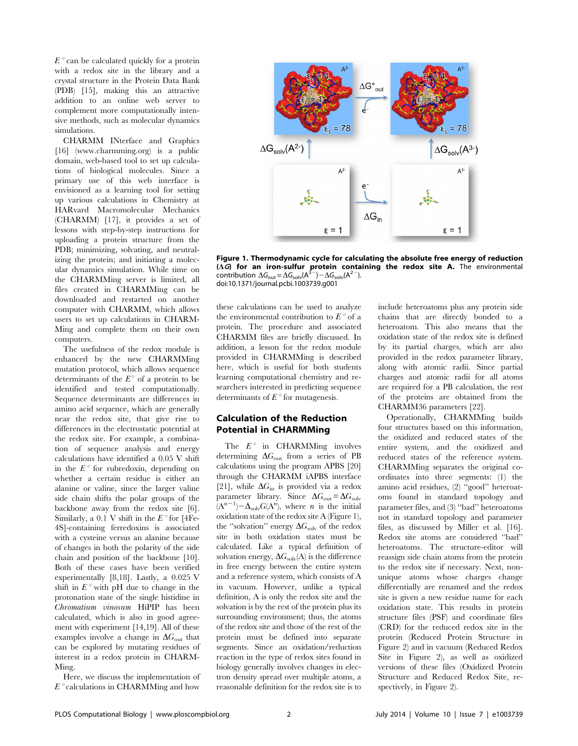$E^{\circ}$  can be calculated quickly for a protein with a redox site in the library and a crystal structure in the Protein Data Bank (PDB) [15], making this an attractive addition to an online web server to complement more computationally intensive methods, such as molecular dynamics simulations.

CHARMM INterface and Graphics [16] (<www.charmming.org>) is a public domain, web-based tool to set up calculations of biological molecules. Since a primary use of this web interface is envisioned as a learning tool for setting up various calculations in Chemistry at HARvard Macromolecular Mechanics (CHARMM) [17], it provides a set of lessons with step-by-step instructions for uploading a protein structure from the PDB; minimizing, solvating, and neutralizing the protein; and initiating a molecular dynamics simulation. While time on the CHARMMing server is limited, all files created in CHARMMing can be downloaded and restarted on another computer with CHARMM, which allows users to set up calculations in CHARM-Ming and complete them on their own computers.

The usefulness of the redox module is enhanced by the new CHARMMing mutation protocol, which allows sequence determinants of the  $E^{\circ}$  of a protein to be identified and tested computationally. Sequence determinants are differences in amino acid sequence, which are generally near the redox site, that give rise to differences in the electrostatic potential at the redox site. For example, a combination of sequence analysis and energy calculations have identified a 0.05 V shift in the  $E^{\circ}$  for rubredoxin, depending on whether a certain residue is either an alanine or valine, since the larger valine side chain shifts the polar groups of the backbone away from the redox site [6]. Similarly, a 0.1 V shift in the  $E^{\circ}$  for [4Fe-4S]-containing ferredoxins is associated with a cysteine versus an alanine because of changes in both the polarity of the side chain and position of the backbone [10]. Both of these cases have been verified experimentally [8,18]. Lastly, a 0.025 V shift in  $E^{\circ}$  with pH due to change in the protonation state of the single histidine in Chromatium vinosum HiPIP has been calculated, which is also in good agreement with experiment [14,19]. All of these examples involve a change in  $\Delta G_{\text{out}}$  that can be explored by mutating residues of interest in a redox protein in CHARM-Ming.

Here, we discuss the implementation of  $E^{\circ}$  calculations in CHARMMing and how



Figure 1. Thermodynamic cycle for calculating the absolute free energy of reduction  $(\Delta G)$  for an iron-sulfur protein containing the redox site A. The environmental contribution  $\Delta G_{\text{out}} = \Delta G_{\text{solv}}(A^{3-}) - \Delta G_{\text{solv}}(A^{2-})$ . doi:10.1371/journal.pcbi.1003739.g001

these calculations can be used to analyze the environmental contribution to  $E^{\circ}$  of a protein. The procedure and associated CHARMM files are briefly discussed. In addition, a lesson for the redox module provided in CHARMMing is described here, which is useful for both students learning computational chemistry and researchers interested in predicting sequence determinants of  $E^{\circ}$  for mutagenesis.

#### Calculation of the Reduction Potential in CHARMMing

The  $E^{\circ}$  in CHARMMing involves determining  $\Delta G_{\text{out}}$  from a series of PB calculations using the program APBS [20] through the CHARMM iAPBS interface [21], while  $\Delta G_{\text{in}}$  is provided via a redox parameter library. Since  $\Delta G_{\text{out}} = \Delta G_{\text{solv}}$  $(A^{n-1}) - \Delta_{solv} G(A^n)$ , where *n* is the initial oxidation state of the redox site A (Figure 1), the "solvation" energy  $\Delta G_{\text{solv}}$  of the redox site in both oxidation states must be calculated. Like a typical definition of solvation energy,  $\Delta G_{solv}(A)$  is the difference in free energy between the entire system and a reference system, which consists of A in vacuum. However, unlike a typical definition, A is only the redox site and the solvation is by the rest of the protein plus its surrounding environment; thus, the atoms of the redox site and those of the rest of the protein must be defined into separate segments. Since an oxidation/reduction reaction in the type of redox sites found in biology generally involves changes in electron density spread over multiple atoms, a reasonable definition for the redox site is to

include heteroatoms plus any protein side chains that are directly bonded to a heteroatom. This also means that the oxidation state of the redox site is defined by its partial charges, which are also provided in the redox parameter library, along with atomic radii. Since partial charges and atomic radii for all atoms are required for a PB calculation, the rest of the proteins are obtained from the CHARMM36 parameters [22].

Operationally, CHARMMing builds four structures based on this information, the oxidized and reduced states of the entire system, and the oxidized and reduced states of the reference system. CHARMMing separates the original coordinates into three segments: (1) the amino acid residues, (2) ''good'' heteroatoms found in standard topology and parameter files, and (3) ''bad'' heteroatoms not in standard topology and parameter files, as discussed by Miller et al. [16]. Redox site atoms are considered ''bad'' heteroatoms. The structure-editor will reassign side chain atoms from the protein to the redox site if necessary. Next, nonunique atoms whose charges change differentially are renamed and the redox site is given a new residue name for each oxidation state. This results in protein structure files (PSF) and coordinate files (CRD) for the reduced redox site in the protein (Reduced Protein Structure in Figure 2) and in vacuum (Reduced Redox Site in Figure 2), as well as oxidized versions of these files (Oxidized Protein Structure and Reduced Redox Site, respectively, in Figure 2).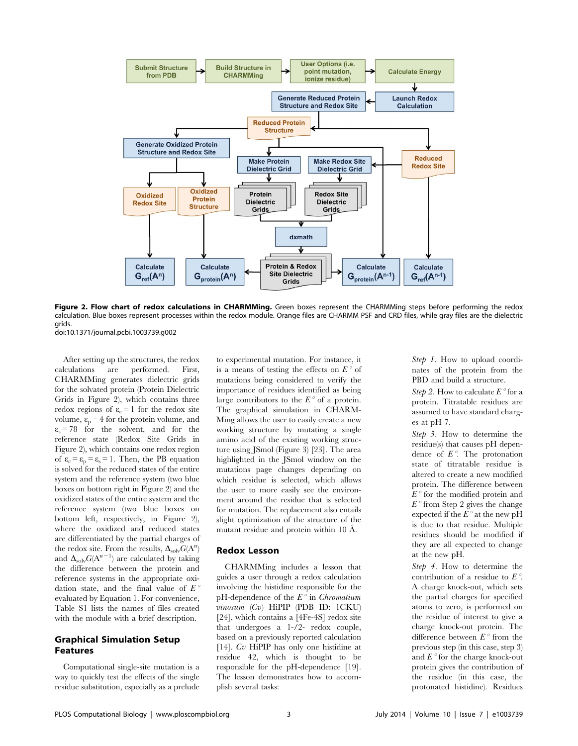

Figure 2. Flow chart of redox calculations in CHARMMing. Green boxes represent the CHARMMing steps before performing the redox calculation. Blue boxes represent processes within the redox module. Orange files are CHARMM PSF and CRD files, while gray files are the dielectric grids. doi:10.1371/journal.pcbi.1003739.g002

After setting up the structures, the redox calculations are performed. First, CHARMMing generates dielectric grids for the solvated protein (Protein Dielectric Grids in Figure 2), which contains three redox regions of  $\varepsilon_c = 1$  for the redox site volume,  $\varepsilon_{p}$  = 4 for the protein volume, and  $\varepsilon_s$  = 78 for the solvent, and for the reference state (Redox Site Grids in Figure 2), which contains one redox region of  $\varepsilon_c = \varepsilon_p = \varepsilon_s = 1$ . Then, the PB equation is solved for the reduced states of the entire system and the reference system (two blue boxes on bottom right in Figure 2) and the oxidized states of the entire system and the reference system (two blue boxes on bottom left, respectively, in Figure 2), where the oxidized and reduced states are differentiated by the partial charges of the redox site. From the results,  $\Delta_{\text{solv}} G(A^n)$ and  $\Delta_{\text{solv}} G(A^{n-1})$  are calculated by taking the difference between the protein and reference systems in the appropriate oxidation state, and the final value of  $E^{\circ}$ evaluated by Equation 1. For convenience, Table S1 lists the names of files created with the module with a brief description.

#### Graphical Simulation Setup Features

Computational single-site mutation is a way to quickly test the effects of the single residue substitution, especially as a prelude to experimental mutation. For instance, it is a means of testing the effects on  $E^{\circ}$  of mutations being considered to verify the importance of residues identified as being large contributors to the  $E^{\circ}$  of a protein. The graphical simulation in CHARM-Ming allows the user to easily create a new working structure by mutating a single amino acid of the existing working structure using JSmol (Figure 3) [23]. The area highlighted in the JSmol window on the mutations page changes depending on which residue is selected, which allows the user to more easily see the environment around the residue that is selected for mutation. The replacement also entails slight optimization of the structure of the mutant residue and protein within 10 Å.

#### Redox Lesson

CHARMMing includes a lesson that guides a user through a redox calculation involving the histidine responsible for the pH-dependence of the  $E^{\circ}$  in *Chromatium* vinosum (Cv) HiPIP (PDB ID: 1CKU) [24], which contains a [4Fe-4S] redox site that undergoes a 1-/2- redox couple, based on a previously reported calculation [14]. Cv HiPIP has only one histidine at residue 42, which is thought to be responsible for the pH-dependence [19]. The lesson demonstrates how to accomplish several tasks:

Step 1. How to upload coordinates of the protein from the PBD and build a structure.

Step 2. How to calculate  $E^{\circ}$  for a protein. Titratable residues are assumed to have standard charges at pH 7.

Step 3. How to determine the residue(s) that causes pH dependence of  $E^{\circ}$ . The protonation state of titratable residue is altered to create a new modified protein. The difference between  $E^{\circ}$  for the modified protein and  $E^{\circ}$  from Step 2 gives the change expected if the  $E^{\circ}$  at the new pH is due to that residue. Multiple residues should be modified if they are all expected to change at the new pH.

Step 4. How to determine the contribution of a residue to  $E^{\circ}$ . A charge knock-out, which sets the partial charges for specified atoms to zero, is performed on the residue of interest to give a charge knock-out protein. The difference between  $E^{\circ}$  from the previous step (in this case, step 3) and  $E^{\circ}$  for the charge knock-out protein gives the contribution of the residue (in this case, the protonated histidine). Residues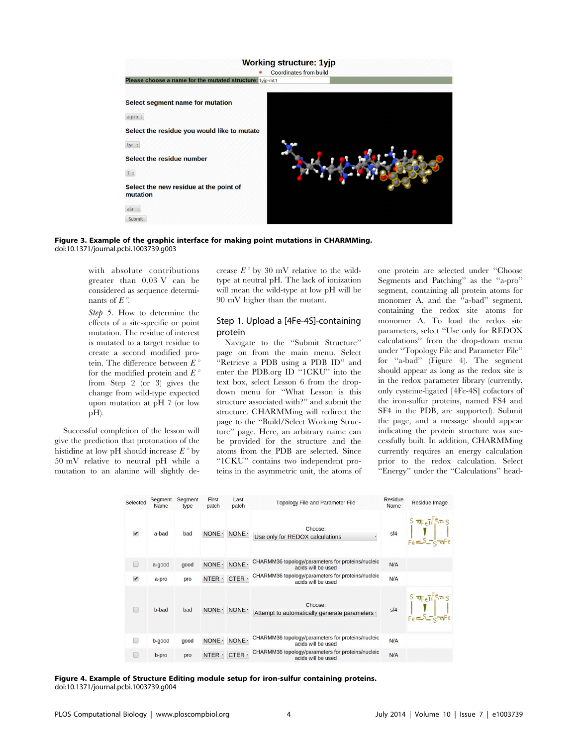

#### Figure 3. Example of the graphic interface for making point mutations in CHARMMing. doi:10.1371/journal.pcbi.1003739.g003

with absolute contributions greater than 0.03 V can be considered as sequence determinants of  $E^\circ$ .

Step 5. How to determine the effects of a site-specific or point mutation. The residue of interest is mutated to a target residue to create a second modified protein. The difference between  $E^{\circ}$ for the modified protein and  $E^{\circ}$ from Step 2 (or 3) gives the change from wild-type expected upon mutation at pH 7 (or low pH).

Successful completion of the lesson will give the prediction that protonation of the histidine at low pH should increase  $E^{\circ}$  by 50 mV relative to neutral pH while a mutation to an alanine will slightly decrease  $E^{\circ}$  by 30 mV relative to the wildtype at neutral pH. The lack of ionization will mean the wild-type at low pH will be 90 mV higher than the mutant.

#### Step 1. Upload a [4Fe-4S]-containing protein

Navigate to the ''Submit Structure'' page on from the main menu. Select ''Retrieve a PDB using a PDB ID'' and enter the PDB.org ID ''1CKU'' into the text box, select Lesson 6 from the dropdown menu for ''What Lesson is this structure associated with?'' and submit the structure. CHARMMing will redirect the page to the ''Build/Select Working Structure'' page. Here, an arbitrary name can be provided for the structure and the atoms from the PDB are selected. Since ''1CKU'' contains two independent proteins in the asymmetric unit, the atoms of one protein are selected under ''Choose Segments and Patching'' as the ''a-pro'' segment, containing all protein atoms for monomer A, and the "a-bad" segment, containing the redox site atoms for monomer A. To load the redox site parameters, select ''Use only for REDOX calculations'' from the drop-down menu under ''Topology File and Parameter File'' for ''a-bad'' (Figure 4). The segment should appear as long as the redox site is in the redox parameter library (currently, only cysteine-ligated [4Fe-4S] cofactors of the iron-sulfur proteins, named FS4 and SF4 in the PDB, are supported). Submit the page, and a message should appear indicating the protein structure was successfully built. In addition, CHARMMing currently requires an energy calculation prior to the redox calculation. Select ''Energy'' under the ''Calculations'' head-

| Selected                              | Segment<br>Name | Segment<br>type | First<br>patch | Last<br>patch | <b>Topology File and Parameter File</b>                                 | <b>Residue</b><br>Name | Residue Image                                                                                                           |
|---------------------------------------|-----------------|-----------------|----------------|---------------|-------------------------------------------------------------------------|------------------------|-------------------------------------------------------------------------------------------------------------------------|
| $\overline{\smash{\bigtriangledown}}$ | a-bad           | bad             | NONE ·         | NONE ·        | Choose:<br>Use only for REDOX calculations                              |                        | sf4 $S = S - \frac{1}{2} \pi F e^T$                                                                                     |
| r                                     | a-good          | good            | NONE ·         | NONE ·        | CHARMM36 topology/parameters for proteins/nucleic<br>acids will be used | N/A                    |                                                                                                                         |
| $\blacktriangledown$                  | a-pro           | pro             | NTER.          | CTER ·        | CHARMM36 topology/parameters for proteins/nucleic<br>acids will be used | N/A                    |                                                                                                                         |
|                                       | b-bad           | bad             | NONE ·         | NONE ·        | Choose:<br>Attempt to automatically generate parameters ·               |                        | sf4 $\begin{array}{c} S \pi_{\text{Fe}}T^{\text{e}}\pi S \\ \pi_{\text{Fe}}S_{\text{Fe}}T^{\text{Fe}}\pi R \end{array}$ |
| m                                     | b-good          | good            | NONE ·         | NONE ·        | CHARMM36 topology/parameters for proteins/nucleic<br>acids will be used | N/A                    |                                                                                                                         |
|                                       | b-pro           | pro             | NTER ·         | CTER.         | CHARMM36 topology/parameters for proteins/nucleic<br>acids will be used | N/A                    |                                                                                                                         |

Figure 4. Example of Structure Editing module setup for iron-sulfur containing proteins. doi:10.1371/journal.pcbi.1003739.g004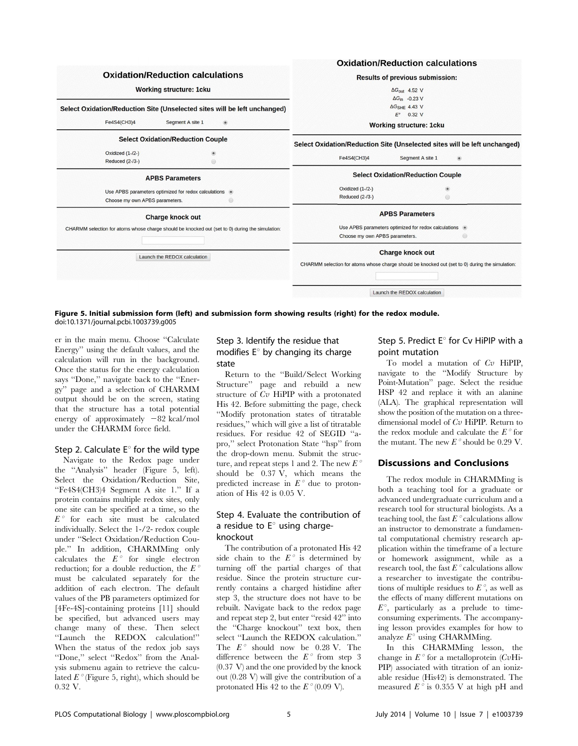

Figure 5. Initial submission form (left) and submission form showing results (right) for the redox module. doi:10.1371/journal.pcbi.1003739.g005

er in the main menu. Choose ''Calculate Energy'' using the default values, and the calculation will run in the background. Once the status for the energy calculation says ''Done,'' navigate back to the ''Energy'' page and a selection of CHARMM output should be on the screen, stating that the structure has a total potential energy of approximately  $-82$  kcal/mol under the CHARMM force field.

#### Step 2. Calculate  $E^{\circ}$  for the wild type

Navigate to the Redox page under the ''Analysis'' header (Figure 5, left). Select the Oxidation/Reduction Site, ''Fe4S4(CH3)4 Segment A site 1.'' If a protein contains multiple redox sites, only one site can be specified at a time, so the  $E^{\circ}$  for each site must be calculated individually. Select the 1-/2- redox couple under ''Select Oxidation/Reduction Couple.'' In addition, CHARMMing only calculates the  $E^{\circ}$  for single electron reduction; for a double reduction, the  $E^{\circ}$ must be calculated separately for the addition of each electron. The default values of the PB parameters optimized for [4Fe-4S]-containing proteins [11] should be specified, but advanced users may change many of these. Then select ''Launch the REDOX calculation!'' When the status of the redox job says ''Done,'' select ''Redox'' from the Analysis submenu again to retrieve the calculated  $E^{\circ}$  (Figure 5, right), which should be 0.32 V.

#### Step 3. Identify the residue that modifies  $E^{\circ}$  by changing its charge state

Return to the ''Build/Select Working Structure'' page and rebuild a new structure of  $Cv$  HiPIP with a protonated His 42. Before submitting the page, check ''Modify protonation states of titratable residues,'' which will give a list of titratable residues. For residue 42 of SEGID ''apro,'' select Protonation State ''hsp'' from the drop-down menu. Submit the structure, and repeat steps 1 and 2. The new  $E^{\circ}$ should be 0.37 V, which means the predicted increase in  $E^{\circ}$  due to protonation of His 42 is 0.05 V.

#### Step 4. Evaluate the contribution of a residue to  $E^{\circ}$  using chargeknockout

The contribution of a protonated His 42 side chain to the  $E^{\circ}$  is determined by turning off the partial charges of that residue. Since the protein structure currently contains a charged histidine after step 3, the structure does not have to be rebuilt. Navigate back to the redox page and repeat step 2, but enter ''resid 42'' into the ''Charge knockout'' text box, then select ''Launch the REDOX calculation.'' The  $E^{\circ}$  should now be 0.28 V. The difference between the  $E^{\circ}$  from step 3 (0.37 V) and the one provided by the knock out (0.28 V) will give the contribution of a protonated His 42 to the  $E^{\circ}$  (0.09 V).

#### Step 5. Predict  $E^{\circ}$  for Cv HiPIP with a point mutation

To model a mutation of  $Cv$  HiPIP, navigate to the ''Modify Structure by Point-Mutation'' page. Select the residue HSP 42 and replace it with an alanine (ALA). The graphical representation will show the position of the mutation on a threedimensional model of Cv HiPIP. Return to the redox module and calculate the  $E^{\circ}$  for the mutant. The new  $E^{\circ}$  should be 0.29 V.

#### Discussions and Conclusions

The redox module in CHARMMing is both a teaching tool for a graduate or advanced undergraduate curriculum and a research tool for structural biologists. As a teaching tool, the fast  $E^{\circ}$  calculations allow an instructor to demonstrate a fundamental computational chemistry research application within the timeframe of a lecture or homework assignment, while as a research tool, the fast  $E^{\circ}$  calculations allow a researcher to investigate the contributions of multiple residues to  $E^{\circ}$ , as well as the effects of many different mutations on  $E^{\circ}$ , particularly as a prelude to timeconsuming experiments. The accompanying lesson provides examples for how to analyze  $E^{\circ}$  using CHARMMing.

In this CHARMMing lesson, the change in  $E^{\circ}$  for a metalloprotein (CvHi-PIP) associated with titration of an ionizable residue (His42) is demonstrated. The measured  $E^{\circ}$  is 0.355 V at high pH and